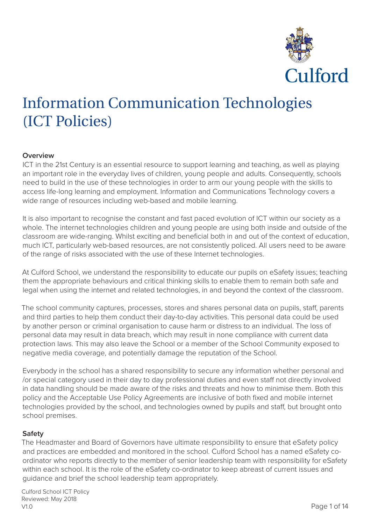

# Information Communication Technologies (ICT Policies)

# **Overview**

ICT in the 21st Century is an essential resource to support learning and teaching, as well as playing an important role in the everyday lives of children, young people and adults. Consequently, schools need to build in the use of these technologies in order to arm our young people with the skills to access life-long learning and employment. Information and Communications Technology covers a wide range of resources including web-based and mobile learning.

It is also important to recognise the constant and fast paced evolution of ICT within our society as a whole. The internet technologies children and young people are using both inside and outside of the classroom are wide-ranging. Whilst exciting and beneficial both in and out of the context of education, much ICT, particularly web-based resources, are not consistently policed. All users need to be aware of the range of risks associated with the use of these Internet technologies.

At Culford School, we understand the responsibility to educate our pupils on eSafety issues; teaching them the appropriate behaviours and critical thinking skills to enable them to remain both safe and legal when using the internet and related technologies, in and beyond the context of the classroom.

The school community captures, processes, stores and shares personal data on pupils, staff, parents and third parties to help them conduct their day-to-day activities. This personal data could be used by another person or criminal organisation to cause harm or distress to an individual. The loss of personal data may result in data breach, which may result in none compliance with current data protection laws. This may also leave the School or a member of the School Community exposed to negative media coverage, and potentially damage the reputation of the School.

Everybody in the school has a shared responsibility to secure any information whether personal and /or special category used in their day to day professional duties and even staff not directly involved in data handling should be made aware of the risks and threats and how to minimise them. Both this policy and the Acceptable Use Policy Agreements are inclusive of both fixed and mobile internet technologies provided by the school, and technologies owned by pupils and staff, but brought onto school premises.

# **Safety**

The Headmaster and Board of Governors have ultimate responsibility to ensure that eSafety policy and practices are embedded and monitored in the school. Culford School has a named eSafety coordinator who reports directly to the member of senior leadership team with responsibility for eSafety within each school. It is the role of the eSafety co-ordinator to keep abreast of current issues and guidance and brief the school leadership team appropriately.

Culford School ICT Policy Reviewed: May 2018 V1.0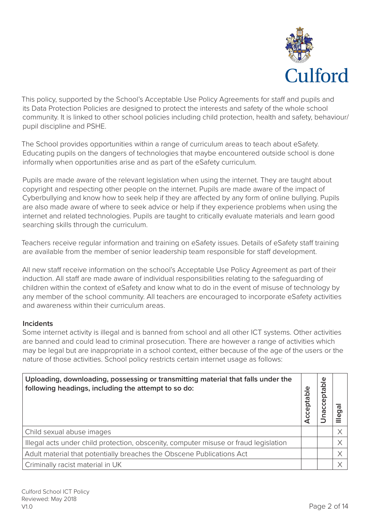

This policy, supported by the School's Acceptable Use Policy Agreements for staff and pupils and its Data Protection Policies are designed to protect the interests and safety of the whole school community. It is linked to other school policies including child protection, health and safety, behaviour/ pupil discipline and PSHE.

The School provides opportunities within a range of curriculum areas to teach about eSafety. Educating pupils on the dangers of technologies that maybe encountered outside school is done informally when opportunities arise and as part of the eSafety curriculum.

Pupils are made aware of the relevant legislation when using the internet. They are taught about copyright and respecting other people on the internet. Pupils are made aware of the impact of Cyberbullying and know how to seek help if they are affected by any form of online bullying. Pupils are also made aware of where to seek advice or help if they experience problems when using the internet and related technologies. Pupils are taught to critically evaluate materials and learn good searching skills through the curriculum.

Teachers receive regular information and training on eSafety issues. Details of eSafety staff training are available from the member of senior leadership team responsible for staff development.

All new staff receive information on the school's Acceptable Use Policy Agreement as part of their induction. All staff are made aware of individual responsibilities relating to the safeguarding of children within the context of eSafety and know what to do in the event of misuse of technology by any member of the school community. All teachers are encouraged to incorporate eSafety activities and awareness within their curriculum areas.

# **Incidents**

Some internet activity is illegal and is banned from school and all other ICT systems. Other activities are banned and could lead to criminal prosecution. There are however a range of activities which may be legal but are inappropriate in a school context, either because of the age of the users or the nature of those activities. School policy restricts certain internet usage as follows:

| Uploading, downloading, possessing or transmitting material that falls under the<br>following headings, including the attempt to so do: | Φ<br><u>igr</u><br>$cc$ ept | Φ<br>ځ<br>ര<br>ö<br>Ф<br>ပ<br>ര | ത<br>ō |
|-----------------------------------------------------------------------------------------------------------------------------------------|-----------------------------|---------------------------------|--------|
| Child sexual abuse images                                                                                                               |                             |                                 |        |
| Illegal acts under child protection, obscenity, computer misuse or fraud legislation                                                    |                             |                                 |        |
| Adult material that potentially breaches the Obscene Publications Act                                                                   |                             |                                 |        |
| Criminally racist material in UK                                                                                                        |                             |                                 |        |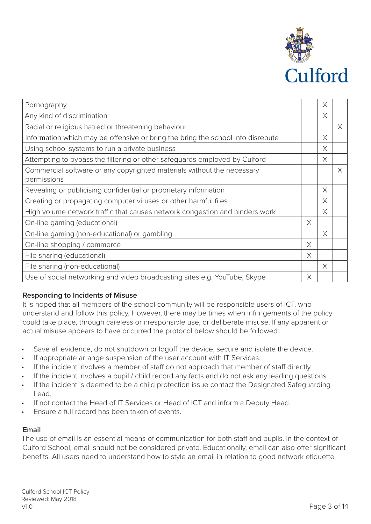

| Pornography                                                                           |          | Χ        |   |
|---------------------------------------------------------------------------------------|----------|----------|---|
| Any kind of discrimination                                                            |          | X        |   |
| Racial or religious hatred or threatening behaviour                                   |          |          | X |
| Information which may be offensive or bring the bring the school into disrepute       |          | X        |   |
| Using school systems to run a private business                                        |          | X        |   |
| Attempting to bypass the filtering or other safeguards employed by Culford            |          | $\times$ |   |
| Commercial software or any copyrighted materials without the necessary<br>permissions |          |          | X |
| Revealing or publicising confidential or proprietary information                      |          | $\times$ |   |
| Creating or propagating computer viruses or other harmful files                       |          | $\times$ |   |
| High volume network traffic that causes network congestion and hinders work           |          | X        |   |
| On-line gaming (educational)                                                          | $\times$ |          |   |
| On-line gaming (non-educational) or gambling                                          |          | X        |   |
| On-line shopping / commerce                                                           | X        |          |   |
| File sharing (educational)                                                            | $\times$ |          |   |
| File sharing (non-educational)                                                        |          | $\times$ |   |
| Use of social networking and video broadcasting sites e.g. YouTube, Skype             | $\times$ |          |   |

# **Responding to Incidents of Misuse**

It is hoped that all members of the school community will be responsible users of ICT, who understand and follow this policy. However, there may be times when infringements of the policy could take place, through careless or irresponsible use, or deliberate misuse. If any apparent or actual misuse appears to have occurred the protocol below should be followed:

- Save all evidence, do not shutdown or logoff the device, secure and isolate the device.
- If appropriate arrange suspension of the user account with IT Services.
- If the incident involves a member of staff do not approach that member of staff directly.
- If the incident involves a pupil / child record any facts and do not ask any leading questions.
- If the incident is deemed to be a child protection issue contact the Designated Safeguarding Lead.
- If not contact the Head of IT Services or Head of ICT and inform a Deputy Head.
- Ensure a full record has been taken of events.

# **Email**

The use of email is an essential means of communication for both staff and pupils. In the context of Culford School, email should not be considered private. Educationally, email can also offer significant benefits. All users need to understand how to style an email in relation to good network etiquette.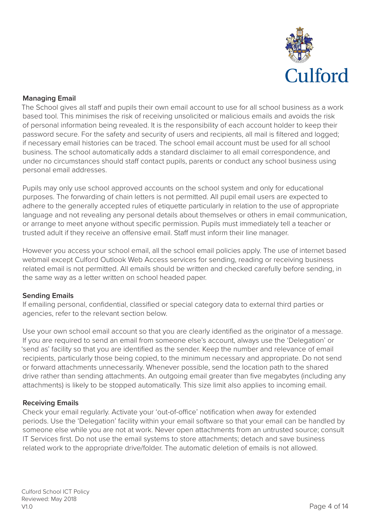

# **Managing Email**

The School gives all staff and pupils their own email account to use for all school business as a work based tool. This minimises the risk of receiving unsolicited or malicious emails and avoids the risk of personal information being revealed. It is the responsibility of each account holder to keep their password secure. For the safety and security of users and recipients, all mail is filtered and logged; if necessary email histories can be traced. The school email account must be used for all school business. The school automatically adds a standard disclaimer to all email correspondence, and under no circumstances should staff contact pupils, parents or conduct any school business using personal email addresses.

Pupils may only use school approved accounts on the school system and only for educational purposes. The forwarding of chain letters is not permitted. All pupil email users are expected to adhere to the generally accepted rules of etiquette particularly in relation to the use of appropriate language and not revealing any personal details about themselves or others in email communication, or arrange to meet anyone without specific permission. Pupils must immediately tell a teacher or trusted adult if they receive an offensive email. Staff must inform their line manager.

However you access your school email, all the school email policies apply. The use of internet based webmail except Culford Outlook Web Access services for sending, reading or receiving business related email is not permitted. All emails should be written and checked carefully before sending, in the same way as a letter written on school headed paper.

# **Sending Emails**

If emailing personal, confidential, classified or special category data to external third parties or agencies, refer to the relevant section below.

Use your own school email account so that you are clearly identified as the originator of a message. If you are required to send an email from someone else's account, always use the 'Delegation' or 'send as' facility so that you are identified as the sender. Keep the number and relevance of email recipients, particularly those being copied, to the minimum necessary and appropriate. Do not send or forward attachments unnecessarily. Whenever possible, send the location path to the shared drive rather than sending attachments. An outgoing email greater than five megabytes (including any attachments) is likely to be stopped automatically. This size limit also applies to incoming email.

# **Receiving Emails**

Check your email regularly. Activate your 'out-of-office' notification when away for extended periods. Use the 'Delegation' facility within your email software so that your email can be handled by someone else while you are not at work. Never open attachments from an untrusted source; consult IT Services first. Do not use the email systems to store attachments; detach and save business related work to the appropriate drive/folder. The automatic deletion of emails is not allowed.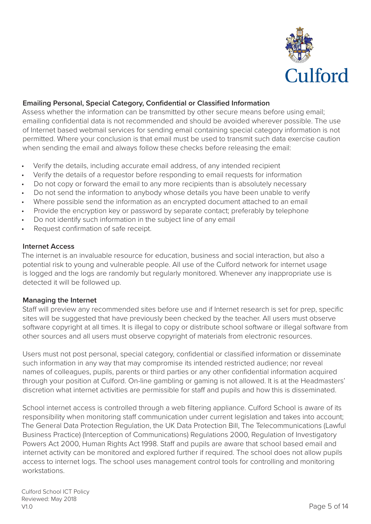

# **Emailing Personal, Special Category, Confidential or Classified Information**

Assess whether the information can be transmitted by other secure means before using email; emailing confidential data is not recommended and should be avoided wherever possible. The use of Internet based webmail services for sending email containing special category information is not permitted. Where your conclusion is that email must be used to transmit such data exercise caution when sending the email and always follow these checks before releasing the email:

- Verify the details, including accurate email address, of any intended recipient
- Verify the details of a requestor before responding to email requests for information
- Do not copy or forward the email to any more recipients than is absolutely necessary
- Do not send the information to anybody whose details you have been unable to verify
- Where possible send the information as an encrypted document attached to an email
- Provide the encryption key or password by separate contact; preferably by telephone
- Do not identify such information in the subject line of any email
- Request confirmation of safe receipt.

## **Internet Access**

The internet is an invaluable resource for education, business and social interaction, but also a potential risk to young and vulnerable people. All use of the Culford network for internet usage is logged and the logs are randomly but regularly monitored. Whenever any inappropriate use is detected it will be followed up.

# **Managing the Internet**

Staff will preview any recommended sites before use and if Internet research is set for prep, specific sites will be suggested that have previously been checked by the teacher. All users must observe software copyright at all times. It is illegal to copy or distribute school software or illegal software from other sources and all users must observe copyright of materials from electronic resources.

Users must not post personal, special category, confidential or classified information or disseminate such information in any way that may compromise its intended restricted audience; nor reveal names of colleagues, pupils, parents or third parties or any other confidential information acquired through your position at Culford. On-line gambling or gaming is not allowed. It is at the Headmasters' discretion what internet activities are permissible for staff and pupils and how this is disseminated.

School internet access is controlled through a web filtering appliance. Culford School is aware of its responsibility when monitoring staff communication under current legislation and takes into account; The General Data Protection Regulation, the UK Data Protection Bill, The Telecommunications (Lawful Business Practice) (Interception of Communications) Regulations 2000, Regulation of Investigatory Powers Act 2000, Human Rights Act 1998. Staff and pupils are aware that school based email and internet activity can be monitored and explored further if required. The school does not allow pupils access to internet logs. The school uses management control tools for controlling and monitoring workstations.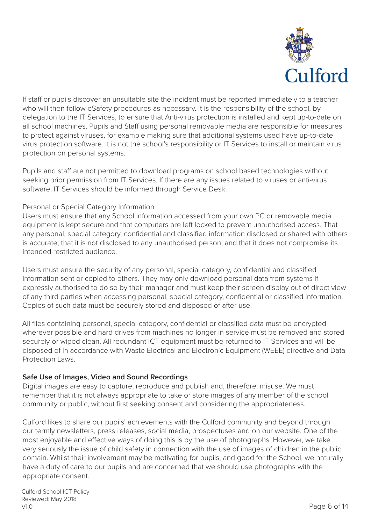

If staff or pupils discover an unsuitable site the incident must be reported immediately to a teacher who will then follow eSafety procedures as necessary. It is the responsibility of the school, by delegation to the IT Services, to ensure that Anti-virus protection is installed and kept up-to-date on all school machines. Pupils and Staff using personal removable media are responsible for measures to protect against viruses, for example making sure that additional systems used have up-to-date virus protection software. It is not the school's responsibility or IT Services to install or maintain virus protection on personal systems.

Pupils and staff are not permitted to download programs on school based technologies without seeking prior permission from IT Services. If there are any issues related to viruses or anti-virus software, IT Services should be informed through Service Desk.

# Personal or Special Category Information

Users must ensure that any School information accessed from your own PC or removable media equipment is kept secure and that computers are left locked to prevent unauthorised access. That any personal, special category, confidential and classified information disclosed or shared with others is accurate; that it is not disclosed to any unauthorised person; and that it does not compromise its intended restricted audience.

Users must ensure the security of any personal, special category, confidential and classified information sent or copied to others. They may only download personal data from systems if expressly authorised to do so by their manager and must keep their screen display out of direct view of any third parties when accessing personal, special category, confidential or classified information. Copies of such data must be securely stored and disposed of after use.

All files containing personal, special category, confidential or classified data must be encrypted wherever possible and hard drives from machines no longer in service must be removed and stored securely or wiped clean. All redundant ICT equipment must be returned to IT Services and will be disposed of in accordance with Waste Electrical and Electronic Equipment (WEEE) directive and Data Protection Laws.

# **Safe Use of Images, Video and Sound Recordings**

Digital images are easy to capture, reproduce and publish and, therefore, misuse. We must remember that it is not always appropriate to take or store images of any member of the school community or public, without first seeking consent and considering the appropriateness.

Culford likes to share our pupils' achievements with the Culford community and beyond through our termly newsletters, press releases, social media, prospectuses and on our website. One of the most enjoyable and effective ways of doing this is by the use of photographs. However, we take very seriously the issue of child safety in connection with the use of images of children in the public domain. Whilst their involvement may be motivating for pupils, and good for the School, we naturally have a duty of care to our pupils and are concerned that we should use photographs with the appropriate consent.

Culford School ICT Policy Reviewed: May 2018 V1.0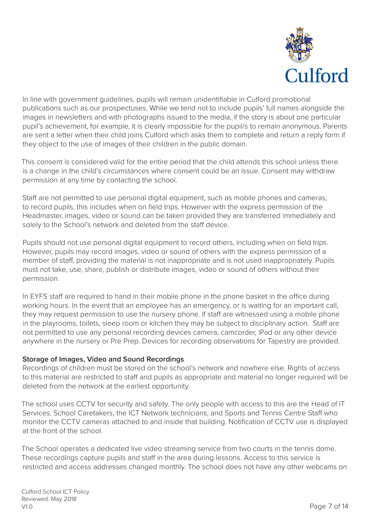

In line with government guidelines, pupils will remain unidentifiable in Culford promotional publications such as our prospectuses. While we tend not to include pupils' full names alongside the images in newsletters and with photographs issued to the media, if the story is about one particular pupil's achievement, for example, it is clearly impossible for the pupil/s to remain anonymous. Parents are sent a letter when their child joins Culford which asks them to complete and return a reply form if they object to the use of images of their children in the public domain.

This consent is considered valid for the entire period that the child attends this school unless there is a change in the child's circumstances where consent could be an issue. Consent may withdraw permission at any time by contacting the school.

Staff are not permitted to use personal digital equipment, such as mobile phones and cameras, to record pupils, this includes when on field trips. However with the express permission of the Headmaster, images, video or sound can be taken provided they are transferred immediately and solely to the School's network and deleted from the staff device.

Pupils should not use personal digital equipment to record others, including when on field trips. However, pupils may record images, video or sound of others with the express permission of a member of staff, providing the material is not inappropriate and is not used inappropriately. Pupils must not take, use, share, publish or distribute images, video or sound of others without their permission.

In EYFS staff are required to hand in their mobile phone in the phone basket in the office during working hours. In the event that an employee has an emergency, or is waiting for an important call, they may request permission to use the nursery phone. If staff are witnessed using a mobile phone in the playrooms, toilets, sleep room or kitchen they may be subject to disciplinary action. Staff are not permitted to use any personal recording devices camera, camcorder, iPad or any other device anywhere in the nursery or Pre Prep. Devices for recording observations for Tapestry are provided.

# **Storage of Images, Video and Sound Recordings**

Recordings of children must be stored on the school's network and nowhere else. Rights of access to this material are restricted to staff and pupils as appropriate and material no longer required will be deleted from the network at the earliest opportunity.

The school uses CCTV for security and safety. The only people with access to this are the Head of IT Services, School Caretakers, the ICT Network technicians; and Sports and Tennis Centre Staff who monitor the CCTV cameras attached to and inside that building. Notification of CCTV use is displayed at the front of the school.

The School operates a dedicated live video streaming service from two courts in the tennis dome. These recordings capture pupils and staff in the area during lessons. Access to this service is restricted and access addresses changed monthly. The school does not have any other webcams on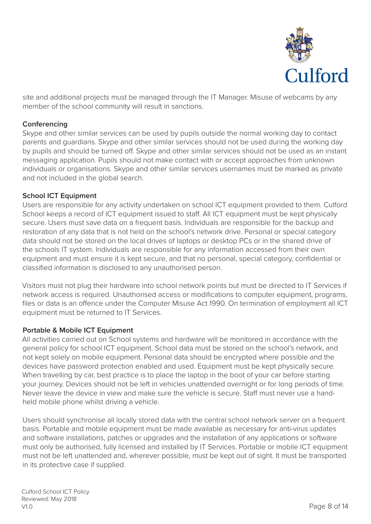

site and additional projects must be managed through the IT Manager. Misuse of webcams by any member of the school community will result in sanctions.

# **Conferencing**

Skype and other similar services can be used by pupils outside the normal working day to contact parents and guardians. Skype and other similar services should not be used during the working day by pupils and should be turned off. Skype and other similar services should not be used as an instant messaging application. Pupils should not make contact with or accept approaches from unknown individuals or organisations. Skype and other similar services usernames must be marked as private and not included in the global search.

## **School ICT Equipment**

Users are responsible for any activity undertaken on school ICT equipment provided to them. Culford School keeps a record of ICT equipment issued to staff. All ICT equipment must be kept physically secure. Users must save data on a frequent basis. Individuals are responsible for the backup and restoration of any data that is not held on the school's network drive. Personal or special category data should not be stored on the local drives of laptops or desktop PCs or in the shared drive of the schools IT system. Individuals are responsible for any information accessed from their own equipment and must ensure it is kept secure, and that no personal, special category, confidential or classified information is disclosed to any unauthorised person.

Visitors must not plug their hardware into school network points but must be directed to IT Services if network access is required. Unauthorised access or modifications to computer equipment, programs, files or data is an offence under the Computer Misuse Act 1990. On termination of employment all ICT equipment must be returned to IT Services.

#### **Portable & Mobile ICT Equipment**

All activities carried out on School systems and hardware will be monitored in accordance with the general policy for school ICT equipment. School data must be stored on the school's network, and not kept solely on mobile equipment. Personal data should be encrypted where possible and the devices have password protection enabled and used. Equipment must be kept physically secure. When travelling by car, best practice is to place the laptop in the boot of your car before starting your journey. Devices should not be left in vehicles unattended overnight or for long periods of time. Never leave the device in view and make sure the vehicle is secure. Staff must never use a handheld mobile phone whilst driving a vehicle.

Users should synchronise all locally stored data with the central school network server on a frequent basis. Portable and mobile equipment must be made available as necessary for anti-virus updates and software installations, patches or upgrades and the installation of any applications or software must only be authorised, fully licensed and installed by IT Services. Portable or mobile ICT equipment must not be left unattended and, wherever possible, must be kept out of sight. It must be transported in its protective case if supplied.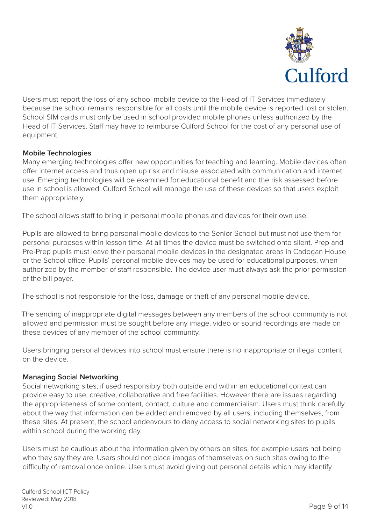

Users must report the loss of any school mobile device to the Head of IT Services immediately because the school remains responsible for all costs until the mobile device is reported lost or stolen. School SIM cards must only be used in school provided mobile phones unless authorized by the Head of IT Services. Staff may have to reimburse Culford School for the cost of any personal use of equipment.

# **Mobile Technologies**

Many emerging technologies offer new opportunities for teaching and learning. Mobile devices often offer internet access and thus open up risk and misuse associated with communication and internet use. Emerging technologies will be examined for educational benefit and the risk assessed before use in school is allowed. Culford School will manage the use of these devices so that users exploit them appropriately.

The school allows staff to bring in personal mobile phones and devices for their own use.

Pupils are allowed to bring personal mobile devices to the Senior School but must not use them for personal purposes within lesson time. At all times the device must be switched onto silent. Prep and Pre-Prep pupils must leave their personal mobile devices in the designated areas in Cadogan House or the School office. Pupils' personal mobile devices may be used for educational purposes, when authorized by the member of staff responsible. The device user must always ask the prior permission of the bill payer.

The school is not responsible for the loss, damage or theft of any personal mobile device.

The sending of inappropriate digital messages between any members of the school community is not allowed and permission must be sought before any image, video or sound recordings are made on these devices of any member of the school community.

Users bringing personal devices into school must ensure there is no inappropriate or illegal content on the device.

# **Managing Social Networking**

Social networking sites, if used responsibly both outside and within an educational context can provide easy to use, creative, collaborative and free facilities. However there are issues regarding the appropriateness of some content, contact, culture and commercialism. Users must think carefully about the way that information can be added and removed by all users, including themselves, from these sites. At present, the school endeavours to deny access to social networking sites to pupils within school during the working day.

Users must be cautious about the information given by others on sites, for example users not being who they say they are. Users should not place images of themselves on such sites owing to the difficulty of removal once online. Users must avoid giving out personal details which may identify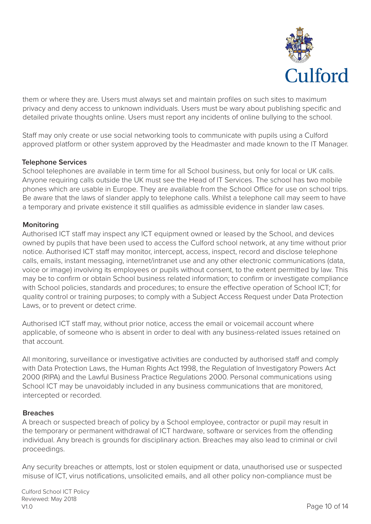

them or where they are. Users must always set and maintain profiles on such sites to maximum privacy and deny access to unknown individuals. Users must be wary about publishing specific and detailed private thoughts online. Users must report any incidents of online bullying to the school.

Staff may only create or use social networking tools to communicate with pupils using a Culford approved platform or other system approved by the Headmaster and made known to the IT Manager.

# **Telephone Services**

School telephones are available in term time for all School business, but only for local or UK calls. Anyone requiring calls outside the UK must see the Head of IT Services. The school has two mobile phones which are usable in Europe. They are available from the School Office for use on school trips. Be aware that the laws of slander apply to telephone calls. Whilst a telephone call may seem to have a temporary and private existence it still qualifies as admissible evidence in slander law cases.

## **Monitoring**

Authorised ICT staff may inspect any ICT equipment owned or leased by the School, and devices owned by pupils that have been used to access the Culford school network, at any time without prior notice. Authorised ICT staff may monitor, intercept, access, inspect, record and disclose telephone calls, emails, instant messaging, internet/intranet use and any other electronic communications (data, voice or image) involving its employees or pupils without consent, to the extent permitted by law. This may be to confirm or obtain School business related information; to confirm or investigate compliance with School policies, standards and procedures; to ensure the effective operation of School ICT; for quality control or training purposes; to comply with a Subject Access Request under Data Protection Laws, or to prevent or detect crime.

Authorised ICT staff may, without prior notice, access the email or voicemail account where applicable, of someone who is absent in order to deal with any business-related issues retained on that account.

All monitoring, surveillance or investigative activities are conducted by authorised staff and comply with Data Protection Laws, the Human Rights Act 1998, the Regulation of Investigatory Powers Act 2000 (RIPA) and the Lawful Business Practice Regulations 2000. Personal communications using School ICT may be unavoidably included in any business communications that are monitored, intercepted or recorded.

#### **Breaches**

A breach or suspected breach of policy by a School employee, contractor or pupil may result in the temporary or permanent withdrawal of ICT hardware, software or services from the offending individual. Any breach is grounds for disciplinary action. Breaches may also lead to criminal or civil proceedings.

Any security breaches or attempts, lost or stolen equipment or data, unauthorised use or suspected misuse of ICT, virus notifications, unsolicited emails, and all other policy non-compliance must be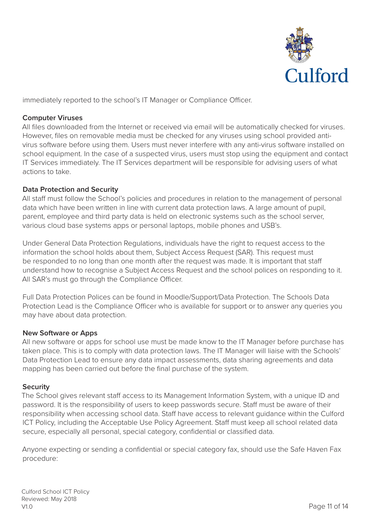

immediately reported to the school's IT Manager or Compliance Officer.

## **Computer Viruses**

All files downloaded from the Internet or received via email will be automatically checked for viruses. However, files on removable media must be checked for any viruses using school provided antivirus software before using them. Users must never interfere with any anti-virus software installed on school equipment. In the case of a suspected virus, users must stop using the equipment and contact IT Services immediately. The IT Services department will be responsible for advising users of what actions to take.

# **Data Protection and Security**

All staff must follow the School's policies and procedures in relation to the management of personal data which have been written in line with current data protection laws. A large amount of pupil, parent, employee and third party data is held on electronic systems such as the school server, various cloud base systems apps or personal laptops, mobile phones and USB's.

Under General Data Protection Regulations, individuals have the right to request access to the information the school holds about them, Subject Access Request (SAR). This request must be responded to no long than one month after the request was made. It is important that staff understand how to recognise a Subject Access Request and the school polices on responding to it. All SAR's must go through the Compliance Officer.

Full Data Protection Polices can be found in Moodle/Support/Data Protection. The Schools Data Protection Lead is the Compliance Officer who is available for support or to answer any queries you may have about data protection.

# **New Software or Apps**

All new software or apps for school use must be made know to the IT Manager before purchase has taken place. This is to comply with data protection laws. The IT Manager will liaise with the Schools' Data Protection Lead to ensure any data impact assessments, data sharing agreements and data mapping has been carried out before the final purchase of the system.

#### **Security**

The School gives relevant staff access to its Management Information System, with a unique ID and password. It is the responsibility of users to keep passwords secure. Staff must be aware of their responsibility when accessing school data. Staff have access to relevant guidance within the Culford ICT Policy, including the Acceptable Use Policy Agreement. Staff must keep all school related data secure, especially all personal, special category, confidential or classified data.

Anyone expecting or sending a confidential or special category fax, should use the Safe Haven Fax procedure: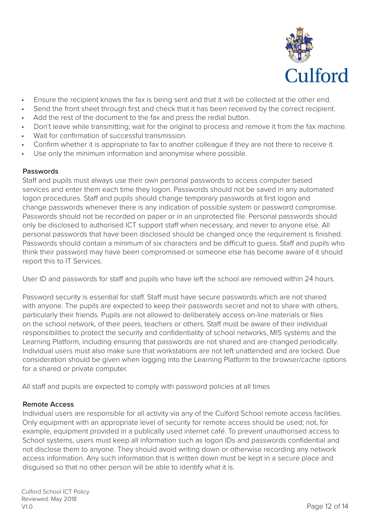

- Ensure the recipient knows the fax is being sent and that it will be collected at the other end.
- Send the front sheet through first and check that it has been received by the correct recipient.
- Add the rest of the document to the fax and press the redial button.
- Don't leave while transmitting; wait for the original to process and remove it from the fax machine.
- Wait for confirmation of successful transmission.
- Confirm whether it is appropriate to fax to another colleague if they are not there to receive it.
- Use only the minimum information and anonymise where possible.

# **Passwords**

Staff and pupils must always use their own personal passwords to access computer based services and enter them each time they logon. Passwords should not be saved in any automated logon procedures. Staff and pupils should change temporary passwords at first logon and change passwords whenever there is any indication of possible system or password compromise. Passwords should not be recorded on paper or in an unprotected file. Personal passwords should only be disclosed to authorised ICT support staff when necessary, and never to anyone else. All personal passwords that have been disclosed should be changed once the requirement is finished. Passwords should contain a minimum of six characters and be difficult to guess. Staff and pupils who think their password may have been compromised or someone else has become aware of it should report this to IT Services.

User ID and passwords for staff and pupils who have left the school are removed within 24 hours.

Password security is essential for staff. Staff must have secure passwords which are not shared with anyone. The pupils are expected to keep their passwords secret and not to share with others, particularly their friends. Pupils are not allowed to deliberately access on-line materials or files on the school network, of their peers, teachers or others. Staff must be aware of their individual responsibilities to protect the security and confidentiality of school networks, MIS systems and the Learning Platform, including ensuring that passwords are not shared and are changed periodically. Individual users must also make sure that workstations are not left unattended and are locked. Due consideration should be given when logging into the Learning Platform to the browser/cache options for a shared or private computer.

All staff and pupils are expected to comply with password policies at all times

# **Remote Access**

Individual users are responsible for all activity via any of the Culford School remote access facilities. Only equipment with an appropriate level of security for remote access should be used; not, for example, equipment provided in a publically used internet café. To prevent unauthorised access to School systems, users must keep all information such as logon IDs and passwords confidential and not disclose them to anyone. They should avoid writing down or otherwise recording any network access information. Any such information that is written down must be kept in a secure place and disguised so that no other person will be able to identify what it is.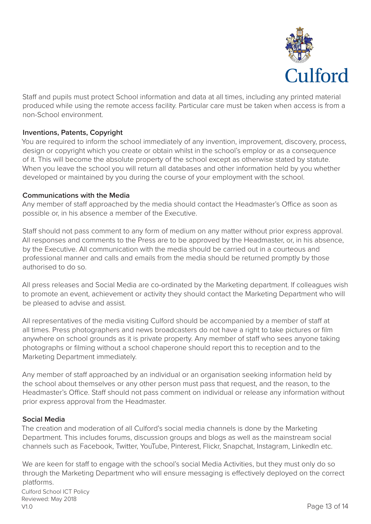

Staff and pupils must protect School information and data at all times, including any printed material produced while using the remote access facility. Particular care must be taken when access is from a non-School environment.

# **Inventions, Patents, Copyright**

You are required to inform the school immediately of any invention, improvement, discovery, process, design or copyright which you create or obtain whilst in the school's employ or as a consequence of it. This will become the absolute property of the school except as otherwise stated by statute. When you leave the school you will return all databases and other information held by you whether developed or maintained by you during the course of your employment with the school.

# **Communications with the Media**

Any member of staff approached by the media should contact the Headmaster's Office as soon as possible or, in his absence a member of the Executive.

Staff should not pass comment to any form of medium on any matter without prior express approval. All responses and comments to the Press are to be approved by the Headmaster, or, in his absence, by the Executive. All communication with the media should be carried out in a courteous and professional manner and calls and emails from the media should be returned promptly by those authorised to do so.

All press releases and Social Media are co-ordinated by the Marketing department. If colleagues wish to promote an event, achievement or activity they should contact the Marketing Department who will be pleased to advise and assist.

All representatives of the media visiting Culford should be accompanied by a member of staff at all times. Press photographers and news broadcasters do not have a right to take pictures or film anywhere on school grounds as it is private property. Any member of staff who sees anyone taking photographs or filming without a school chaperone should report this to reception and to the Marketing Department immediately.

Any member of staff approached by an individual or an organisation seeking information held by the school about themselves or any other person must pass that request, and the reason, to the Headmaster's Office. Staff should not pass comment on individual or release any information without prior express approval from the Headmaster.

#### **Social Media**

The creation and moderation of all Culford's social media channels is done by the Marketing Department. This includes forums, discussion groups and blogs as well as the mainstream social channels such as Facebook, Twitter, YouTube, Pinterest, Flickr, Snapchat, Instagram, LinkedIn etc.

Page 13 of 14 Culford School ICT Policy Reviewed: May 2018 V1.0 We are keen for staff to engage with the school's social Media Activities, but they must only do so through the Marketing Department who will ensure messaging is effectively deployed on the correct platforms.